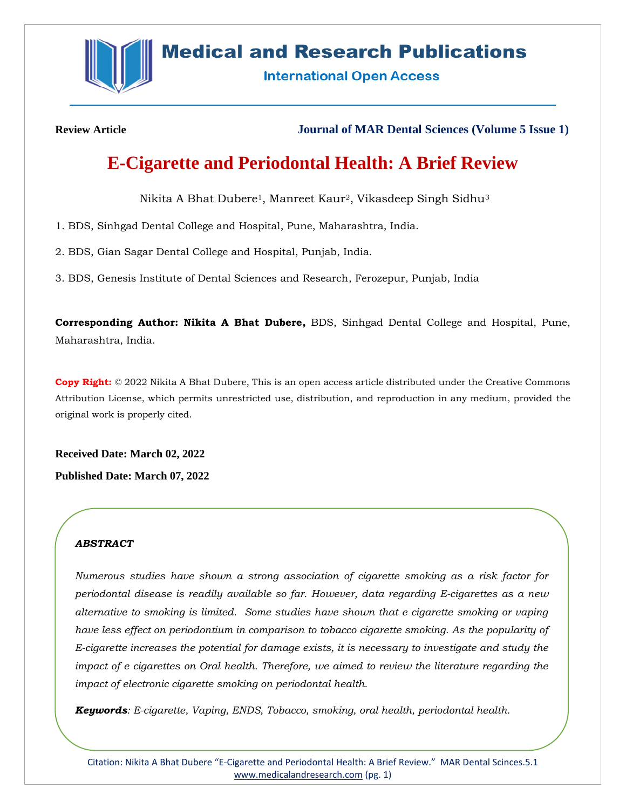

# **Medical and Research Publications**

**International Open Access** 

**Review Article Journal of MAR Dental Sciences (Volume 5 Issue 1)**

# **E-Cigarette and Periodontal Health: A Brief Review**

Nikita A Bhat Dubere1, Manreet Kaur2, Vikasdeep Singh Sidhu<sup>3</sup>

1. BDS, Sinhgad Dental College and Hospital, Pune, Maharashtra, India.

2. BDS, Gian Sagar Dental College and Hospital, Punjab, India.

3. BDS, Genesis Institute of Dental Sciences and Research, Ferozepur, Punjab, India

**Corresponding Author: Nikita A Bhat Dubere,** BDS, Sinhgad Dental College and Hospital, Pune, Maharashtra, India.

**Copy Right:** © 2022 Nikita A Bhat Dubere, This is an open access article distributed under the Creative Commons Attribution License, which permits unrestricted use, distribution, and reproduction in any medium, provided the original work is properly cited.

**Received Date: March 02, 2022 Published Date: March 07, 2022**

# *ABSTRACT*

*Numerous studies have shown a strong association of cigarette smoking as a risk factor for periodontal disease is readily available so far. However, data regarding E-cigarettes as a new alternative to smoking is limited. Some studies have shown that e cigarette smoking or vaping have less effect on periodontium in comparison to tobacco cigarette smoking. As the popularity of E-cigarette increases the potential for damage exists, it is necessary to investigate and study the impact of e cigarettes on Oral health. Therefore, we aimed to review the literature regarding the impact of electronic cigarette smoking on periodontal health.*

*Keywords: E-cigarette, Vaping, ENDS, Tobacco, smoking, oral health, periodontal health.*

Citation: Nikita A Bhat Dubere "E-Cigarette and Periodontal Health: A Brief Review." MAR Dental Scinces.5.1 [www.medicalandresearch.com](http://www.medicalandresearch.com/) (pg. 1)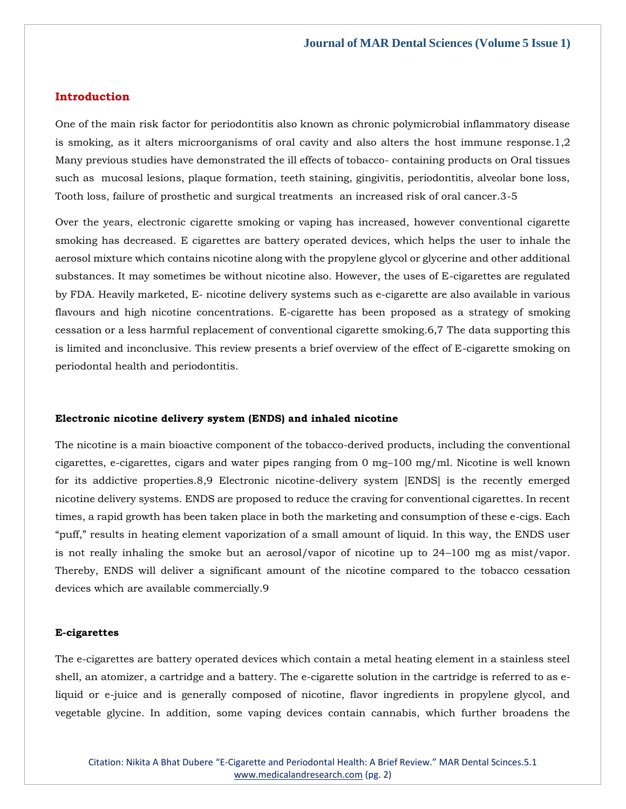### **Introduction**

One of the main risk factor for periodontitis also known as chronic polymicrobial inflammatory disease is smoking, as it alters microorganisms of oral cavity and also alters the host immune response.1,2 Many previous studies have demonstrated the ill effects of tobacco- containing products on Oral tissues such as mucosal lesions, plaque formation, teeth staining, gingivitis, periodontitis, alveolar bone loss, Tooth loss, failure of prosthetic and surgical treatments an increased risk of oral cancer.3-5

Over the years, electronic cigarette smoking or vaping has increased, however conventional cigarette smoking has decreased. E cigarettes are battery operated devices, which helps the user to inhale the aerosol mixture which contains nicotine along with the propylene glycol or glycerine and other additional substances. It may sometimes be without nicotine also. However, the uses of E-cigarettes are regulated by FDA. Heavily marketed, E- nicotine delivery systems such as e-cigarette are also available in various flavours and high nicotine concentrations. E-cigarette has been proposed as a strategy of smoking cessation or a less harmful replacement of conventional cigarette smoking.6,7 The data supporting this is limited and inconclusive. This review presents a brief overview of the effect of E-cigarette smoking on periodontal health and periodontitis.

### **Electronic nicotine delivery system (ENDS) and inhaled nicotine**

The nicotine is a main bioactive component of the tobacco-derived products, including the conventional cigarettes, e-cigarettes, cigars and water pipes ranging from 0 mg–100 mg/ml. Nicotine is well known for its addictive properties.8,9 Electronic nicotine-delivery system [ENDS] is the recently emerged nicotine delivery systems. ENDS are proposed to reduce the craving for conventional cigarettes. In recent times, a rapid growth has been taken place in both the marketing and consumption of these e-cigs. Each "puff," results in heating element vaporization of a small amount of liquid. In this way, the ENDS user is not really inhaling the smoke but an aerosol/vapor of nicotine up to 24–100 mg as mist/vapor. Thereby, ENDS will deliver a significant amount of the nicotine compared to the tobacco cessation devices which are available commercially.9

#### **E-cigarettes**

The e-cigarettes are battery operated devices which contain a metal heating element in a stainless steel shell, an atomizer, a cartridge and a battery. The e-cigarette solution in the cartridge is referred to as eliquid or e-juice and is generally composed of nicotine, flavor ingredients in propylene glycol, and vegetable glycine. In addition, some vaping devices contain cannabis, which further broadens the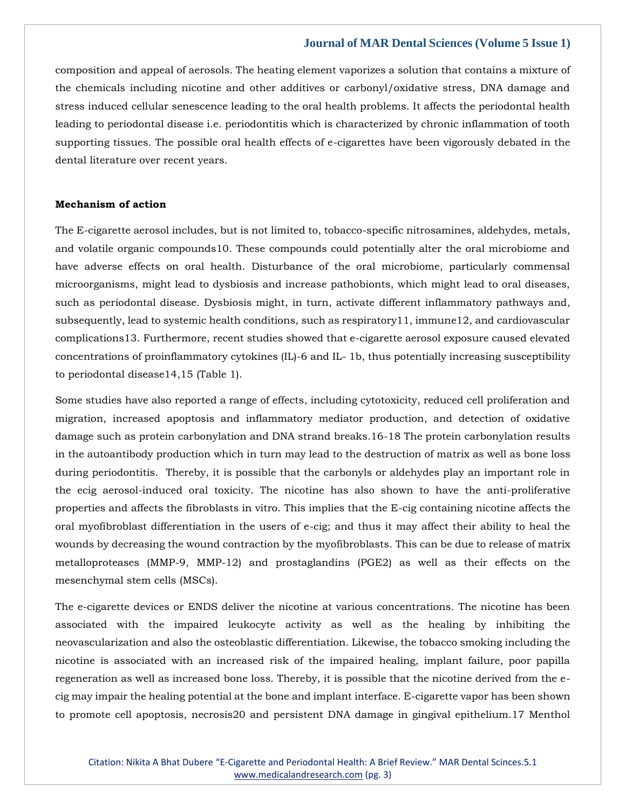composition and appeal of aerosols. The heating element vaporizes a solution that contains a mixture of the chemicals including nicotine and other additives or carbonyl/oxidative stress, DNA damage and stress induced cellular senescence leading to the oral health problems. It affects the periodontal health leading to periodontal disease i.e. periodontitis which is characterized by chronic inflammation of tooth supporting tissues. The possible oral health effects of e-cigarettes have been vigorously debated in the dental literature over recent years.

## **Mechanism of action**

The E-cigarette aerosol includes, but is not limited to, tobacco-specific nitrosamines, aldehydes, metals, and volatile organic compounds10. These compounds could potentially alter the oral microbiome and have adverse effects on oral health. Disturbance of the oral microbiome, particularly commensal microorganisms, might lead to dysbiosis and increase pathobionts, which might lead to oral diseases, such as periodontal disease. Dysbiosis might, in turn, activate different inflammatory pathways and, subsequently, lead to systemic health conditions, such as respiratory11, immune12, and cardiovascular complications13. Furthermore, recent studies showed that e-cigarette aerosol exposure caused elevated concentrations of proinflammatory cytokines (IL)-6 and IL- 1b, thus potentially increasing susceptibility to periodontal disease14,15 (Table 1).

Some studies have also reported a range of effects, including cytotoxicity, reduced cell proliferation and migration, increased apoptosis and inflammatory mediator production, and detection of oxidative damage such as protein carbonylation and DNA strand breaks.16-18 The protein carbonylation results in the autoantibody production which in turn may lead to the destruction of matrix as well as bone loss during periodontitis. Thereby, it is possible that the carbonyls or aldehydes play an important role in the ecig aerosol-induced oral toxicity. The nicotine has also shown to have the anti-proliferative properties and affects the fibroblasts in vitro. This implies that the E-cig containing nicotine affects the oral myofibroblast differentiation in the users of e-cig; and thus it may affect their ability to heal the wounds by decreasing the wound contraction by the myofibroblasts. This can be due to release of matrix metalloproteases (MMP-9, MMP-12) and prostaglandins (PGE2) as well as their effects on the mesenchymal stem cells (MSCs).

The e-cigarette devices or ENDS deliver the nicotine at various concentrations. The nicotine has been associated with the impaired leukocyte activity as well as the healing by inhibiting the neovascularization and also the osteoblastic differentiation. Likewise, the tobacco smoking including the nicotine is associated with an increased risk of the impaired healing, implant failure, poor papilla regeneration as well as increased bone loss. Thereby, it is possible that the nicotine derived from the ecig may impair the healing potential at the bone and implant interface. E-cigarette vapor has been shown to promote cell apoptosis, necrosis20 and persistent DNA damage in gingival epithelium.17 Menthol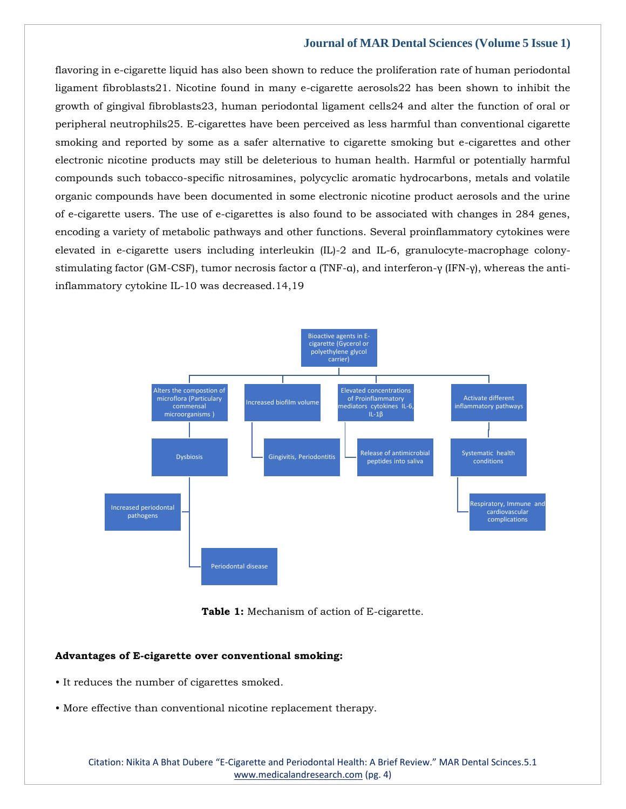flavoring in e-cigarette liquid has also been shown to reduce the proliferation rate of human periodontal ligament fibroblasts21. Nicotine found in many e-cigarette aerosols22 has been shown to inhibit the growth of gingival fibroblasts23, human periodontal ligament cells24 and alter the function of oral or peripheral neutrophils25. E-cigarettes have been perceived as less harmful than conventional cigarette smoking and reported by some as a safer alternative to cigarette smoking but e-cigarettes and other electronic nicotine products may still be deleterious to human health. Harmful or potentially harmful compounds such tobacco-specific nitrosamines, polycyclic aromatic hydrocarbons, metals and volatile organic compounds have been documented in some electronic nicotine product aerosols and the urine of e-cigarette users. The use of e-cigarettes is also found to be associated with changes in 284 genes, encoding a variety of metabolic pathways and other functions. Several proinflammatory cytokines were elevated in e-cigarette users including interleukin (IL)-2 and IL-6, granulocyte-macrophage colonystimulating factor (GM-CSF), tumor necrosis factor α (TNF-α), and interferon-γ (IFN-γ), whereas the antiinflammatory cytokine IL-10 was decreased.14,19



**Table 1:** Mechanism of action of E-cigarette.

## **Advantages of E-cigarette over conventional smoking:**

- It reduces the number of cigarettes smoked.
- More effective than conventional nicotine replacement therapy.

Citation: Nikita A Bhat Dubere "E-Cigarette and Periodontal Health: A Brief Review." MAR Dental Scinces.5.1 [www.medicalandresearch.com](http://www.medicalandresearch.com/) (pg. 4)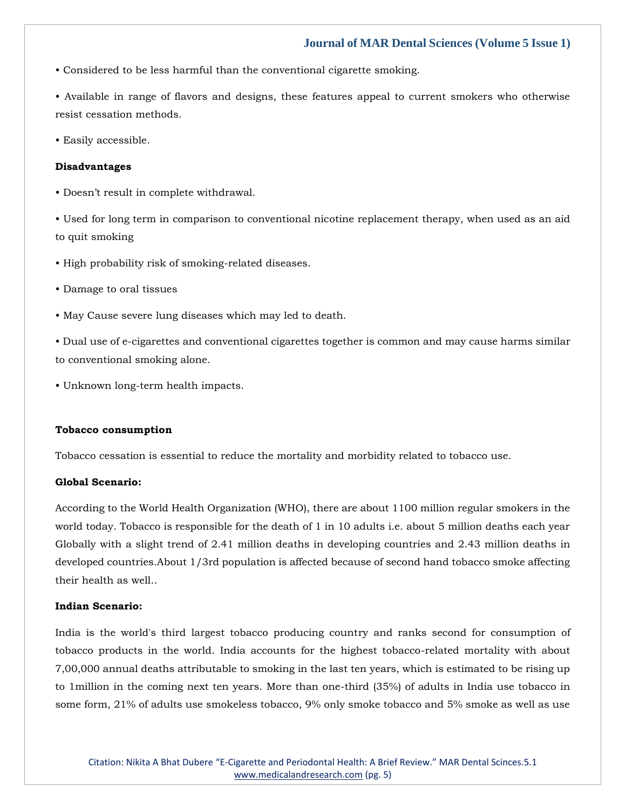• Considered to be less harmful than the conventional cigarette smoking.

• Available in range of flavors and designs, these features appeal to current smokers who otherwise resist cessation methods.

• Easily accessible.

#### **Disadvantages**

• Doesn't result in complete withdrawal.

• Used for long term in comparison to conventional nicotine replacement therapy, when used as an aid to quit smoking

• High probability risk of smoking-related diseases.

• Damage to oral tissues

• May Cause severe lung diseases which may led to death.

• Dual use of e-cigarettes and conventional cigarettes together is common and may cause harms similar to conventional smoking alone.

• Unknown long-term health impacts.

#### **Tobacco consumption**

Tobacco cessation is essential to reduce the mortality and morbidity related to tobacco use.

## **Global Scenario:**

According to the World Health Organization (WHO), there are about 1100 million regular smokers in the world today. Tobacco is responsible for the death of 1 in 10 adults i.e. about 5 million deaths each year Globally with a slight trend of 2.41 million deaths in developing countries and 2.43 million deaths in developed countries.About 1/3rd population is affected because of second hand tobacco smoke affecting their health as well..

## **Indian Scenario:**

India is the world's third largest tobacco producing country and ranks second for consumption of tobacco products in the world. India accounts for the highest tobacco-related mortality with about 7,00,000 annual deaths attributable to smoking in the last ten years, which is estimated to be rising up to 1million in the coming next ten years. More than one-third (35%) of adults in India use tobacco in some form, 21% of adults use smokeless tobacco, 9% only smoke tobacco and 5% smoke as well as use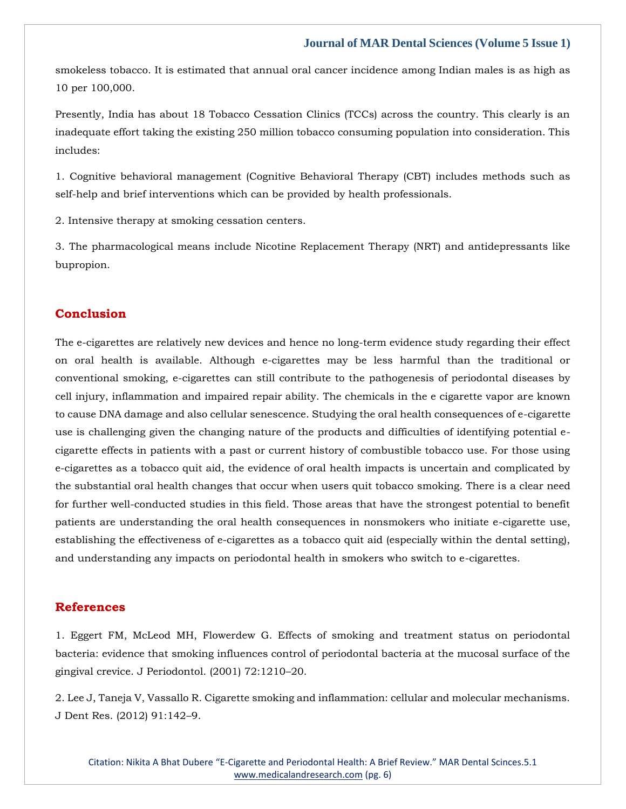smokeless tobacco. It is estimated that annual oral cancer incidence among Indian males is as high as 10 per 100,000.

Presently, India has about 18 Tobacco Cessation Clinics (TCCs) across the country. This clearly is an inadequate effort taking the existing 250 million tobacco consuming population into consideration. This includes:

1. Cognitive behavioral management (Cognitive Behavioral Therapy (CBT) includes methods such as self-help and brief interventions which can be provided by health professionals.

2. Intensive therapy at smoking cessation centers.

3. The pharmacological means include Nicotine Replacement Therapy (NRT) and antidepressants like bupropion.

## **Conclusion**

The e-cigarettes are relatively new devices and hence no long-term evidence study regarding their effect on oral health is available. Although e-cigarettes may be less harmful than the traditional or conventional smoking, e-cigarettes can still contribute to the pathogenesis of periodontal diseases by cell injury, inflammation and impaired repair ability. The chemicals in the e cigarette vapor are known to cause DNA damage and also cellular senescence. Studying the oral health consequences of e-cigarette use is challenging given the changing nature of the products and difficulties of identifying potential ecigarette effects in patients with a past or current history of combustible tobacco use. For those using e-cigarettes as a tobacco quit aid, the evidence of oral health impacts is uncertain and complicated by the substantial oral health changes that occur when users quit tobacco smoking. There is a clear need for further well-conducted studies in this field. Those areas that have the strongest potential to benefit patients are understanding the oral health consequences in nonsmokers who initiate e-cigarette use, establishing the effectiveness of e-cigarettes as a tobacco quit aid (especially within the dental setting), and understanding any impacts on periodontal health in smokers who switch to e-cigarettes.

## **References**

1. [Eggert FM, McLeod MH, Flowerdew G. Effects of smoking and treatment status on periodontal](https://uk.search.yahoo.com/search;_ylt=AwrgEa0AliVitRwAv1YM34lQ;_ylc=X1MDMTM1MTIxMjgxMgRfcgMyBGZyA21jYWZlZQRmcjIDc2ItdG9wBGdwcmlkA0JwYzk1VmlHU1dTcHJzRmN4UTBOOUEEbl9yc2x0AzAEbl9zdWdnAzAEb3JpZ2luA3VrLnNlYXJjaC55YWhvby5jb20EcG9zAzAEcHFzdHIDBHBxc3RybAMwBHFzdHJsAzE3OARxdWVyeQNFZmZlY3RzJTIwb2YlMjBzbW9raW5nJTIwYW5kJTIwdHJlYXRtZW50JTIwc3RhdHVzJTIwb24lMjBwZXJpb2RvbnRhbCUyMGJhY3RlcmlhJTNBJTIwZXZpZGVuY2UlMjB0aGF0JTIwc21va2luZyUyMGluZmx1ZW5jZXMlMjBjb250cm9sJTIwb2YlMjBwZXJpb2RvbnRhbCUyMGJhY3RlcmlhJTIwYXQlMjB0aGUlMjBtdWNvc2FsJTIwc3VyZmFjZSUyMG9mJTIwdGhlJTIwZ2luZ2l2YWwlMjBjcmV2aWNlLiUyMAR0X3N0bXADMTY0NjYzMTc3Ng--?p=Effects+of+smoking+and+treatment+status+on+periodontal+bacteria%3A+evidence+that+smoking+influences+control+of+periodontal+bacteria+at+the+mucosal+surface+of+the+gingival+crevice.+&fr2=sb-top&fr=mcafee&type=E211GB885G0)  [bacteria: evidence that smoking influences control of periodontal bacteria at the mucosal surface of the](https://uk.search.yahoo.com/search;_ylt=AwrgEa0AliVitRwAv1YM34lQ;_ylc=X1MDMTM1MTIxMjgxMgRfcgMyBGZyA21jYWZlZQRmcjIDc2ItdG9wBGdwcmlkA0JwYzk1VmlHU1dTcHJzRmN4UTBOOUEEbl9yc2x0AzAEbl9zdWdnAzAEb3JpZ2luA3VrLnNlYXJjaC55YWhvby5jb20EcG9zAzAEcHFzdHIDBHBxc3RybAMwBHFzdHJsAzE3OARxdWVyeQNFZmZlY3RzJTIwb2YlMjBzbW9raW5nJTIwYW5kJTIwdHJlYXRtZW50JTIwc3RhdHVzJTIwb24lMjBwZXJpb2RvbnRhbCUyMGJhY3RlcmlhJTNBJTIwZXZpZGVuY2UlMjB0aGF0JTIwc21va2luZyUyMGluZmx1ZW5jZXMlMjBjb250cm9sJTIwb2YlMjBwZXJpb2RvbnRhbCUyMGJhY3RlcmlhJTIwYXQlMjB0aGUlMjBtdWNvc2FsJTIwc3VyZmFjZSUyMG9mJTIwdGhlJTIwZ2luZ2l2YWwlMjBjcmV2aWNlLiUyMAR0X3N0bXADMTY0NjYzMTc3Ng--?p=Effects+of+smoking+and+treatment+status+on+periodontal+bacteria%3A+evidence+that+smoking+influences+control+of+periodontal+bacteria+at+the+mucosal+surface+of+the+gingival+crevice.+&fr2=sb-top&fr=mcafee&type=E211GB885G0)  [gingival crevice. J Periodontol. \(2001\) 72:1210](https://uk.search.yahoo.com/search;_ylt=AwrgEa0AliVitRwAv1YM34lQ;_ylc=X1MDMTM1MTIxMjgxMgRfcgMyBGZyA21jYWZlZQRmcjIDc2ItdG9wBGdwcmlkA0JwYzk1VmlHU1dTcHJzRmN4UTBOOUEEbl9yc2x0AzAEbl9zdWdnAzAEb3JpZ2luA3VrLnNlYXJjaC55YWhvby5jb20EcG9zAzAEcHFzdHIDBHBxc3RybAMwBHFzdHJsAzE3OARxdWVyeQNFZmZlY3RzJTIwb2YlMjBzbW9raW5nJTIwYW5kJTIwdHJlYXRtZW50JTIwc3RhdHVzJTIwb24lMjBwZXJpb2RvbnRhbCUyMGJhY3RlcmlhJTNBJTIwZXZpZGVuY2UlMjB0aGF0JTIwc21va2luZyUyMGluZmx1ZW5jZXMlMjBjb250cm9sJTIwb2YlMjBwZXJpb2RvbnRhbCUyMGJhY3RlcmlhJTIwYXQlMjB0aGUlMjBtdWNvc2FsJTIwc3VyZmFjZSUyMG9mJTIwdGhlJTIwZ2luZ2l2YWwlMjBjcmV2aWNlLiUyMAR0X3N0bXADMTY0NjYzMTc3Ng--?p=Effects+of+smoking+and+treatment+status+on+periodontal+bacteria%3A+evidence+that+smoking+influences+control+of+periodontal+bacteria+at+the+mucosal+surface+of+the+gingival+crevice.+&fr2=sb-top&fr=mcafee&type=E211GB885G0)–20.

[2. Lee J, Taneja V, Vassallo R. Cigarette smoking and inflammation: cellular and molecular mechanisms.](https://uk.search.yahoo.com/search;_ylt=Awr9J.9fmyVie5kAcx8M34lQ;_ylc=X1MDMTM1MTIxMjgxMgRfcgMyBGZyA21jYWZlZQRmcjIDc2ItdG9wBGdwcmlkAzV5UU5KMm9zUzFXa3J3MGZacnhlM0EEbl9yc2x0AzAEbl9zdWdnAzAEb3JpZ2luA3VrLnNlYXJjaC55YWhvby5jb20EcG9zAzAEcHFzdHIDBHBxc3RybAMwBHFzdHJsAzY5BHF1ZXJ5A0NpZ2FyZXR0ZSUyMHNtb2tpbmclMjBhbmQlMjBpbmZsYW1tYXRpb24lM0ElMjBjZWxsdWxhciUyMGFuZCUyMG1vbGVjdWxhciUyMG1lY2hhbmlzbXMEdF9zdG1wAzE2NDY2MzE3ODk-?p=Cigarette+smoking+and+inflammation%3A+cellular+and+molecular+mechanisms&fr2=sb-top&fr=mcafee&type=E211GB885G0)  [J Dent Res. \(2012\) 91:142](https://uk.search.yahoo.com/search;_ylt=Awr9J.9fmyVie5kAcx8M34lQ;_ylc=X1MDMTM1MTIxMjgxMgRfcgMyBGZyA21jYWZlZQRmcjIDc2ItdG9wBGdwcmlkAzV5UU5KMm9zUzFXa3J3MGZacnhlM0EEbl9yc2x0AzAEbl9zdWdnAzAEb3JpZ2luA3VrLnNlYXJjaC55YWhvby5jb20EcG9zAzAEcHFzdHIDBHBxc3RybAMwBHFzdHJsAzY5BHF1ZXJ5A0NpZ2FyZXR0ZSUyMHNtb2tpbmclMjBhbmQlMjBpbmZsYW1tYXRpb24lM0ElMjBjZWxsdWxhciUyMGFuZCUyMG1vbGVjdWxhciUyMG1lY2hhbmlzbXMEdF9zdG1wAzE2NDY2MzE3ODk-?p=Cigarette+smoking+and+inflammation%3A+cellular+and+molecular+mechanisms&fr2=sb-top&fr=mcafee&type=E211GB885G0)–9.

Citation: Nikita A Bhat Dubere "E-Cigarette and Periodontal Health: A Brief Review." MAR Dental Scinces.5.1 [www.medicalandresearch.com](http://www.medicalandresearch.com/) (pg. 6)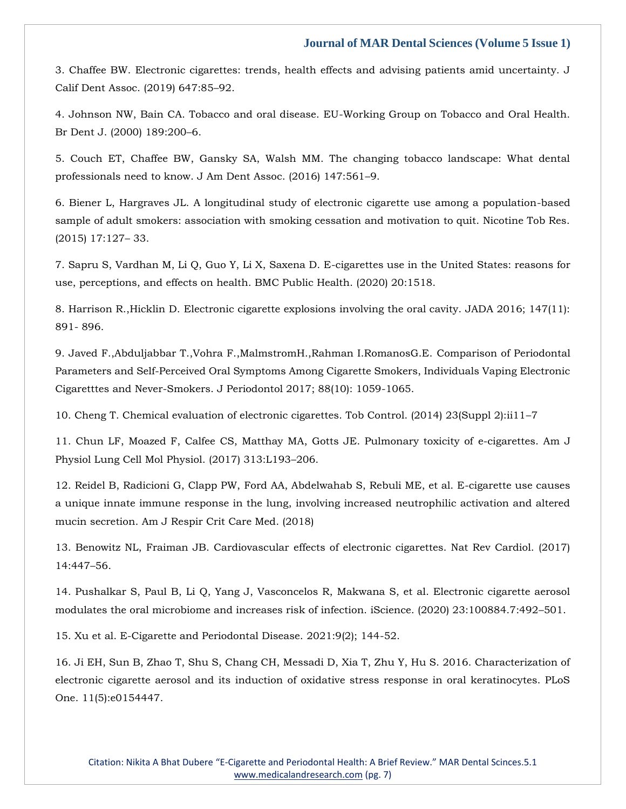[3. Chaffee BW. Electronic cigarettes: trends, health effects and advising patients amid uncertainty. J](https://uk.search.yahoo.com/search;_ylt=Awr9J.hrmyVi5f4Ank8M34lQ;_ylc=X1MDMTM1MTIxMjgxMgRfcgMyBGZyA21jYWZlZQRmcjIDc2ItdG9wBGdwcmlkA2VQVzZKaFJlUVAuUHhFVGF0czlzT0EEbl9yc2x0AzAEbl9zdWdnAzAEb3JpZ2luA3VrLnNlYXJjaC55YWhvby5jb20EcG9zAzAEcHFzdHIDBHBxc3RybAMwBHFzdHJsAzEwOARxdWVyeQMuJTIwRWxlY3Ryb25pYyUyMGNpZ2FyZXR0ZXMlM0ElMjB0cmVuZHMlMkMlMjBoZWFsdGglMjBlZmZlY3RzJTIwYW5kJTIwYWR2aXNpbmclMjBwYXRpZW50cyUyMGFtaWQlMjB1bmNlcnRhaW50eS4lMjBKJTIwQ2FsaWYlMjBEZW50JTIwQXNzb2MuJTIwBHRfc3RtcAMxNjQ2NjMxODAx?p=.+Electronic+cigarettes%3A+trends%2C+health+effects+and+advising+patients+amid+uncertainty.+J+Calif+Dent+Assoc.+&fr2=sb-top&fr=mcafee&type=E211GB885G0)  [Calif Dent Assoc. \(2019\) 647:85](https://uk.search.yahoo.com/search;_ylt=Awr9J.hrmyVi5f4Ank8M34lQ;_ylc=X1MDMTM1MTIxMjgxMgRfcgMyBGZyA21jYWZlZQRmcjIDc2ItdG9wBGdwcmlkA2VQVzZKaFJlUVAuUHhFVGF0czlzT0EEbl9yc2x0AzAEbl9zdWdnAzAEb3JpZ2luA3VrLnNlYXJjaC55YWhvby5jb20EcG9zAzAEcHFzdHIDBHBxc3RybAMwBHFzdHJsAzEwOARxdWVyeQMuJTIwRWxlY3Ryb25pYyUyMGNpZ2FyZXR0ZXMlM0ElMjB0cmVuZHMlMkMlMjBoZWFsdGglMjBlZmZlY3RzJTIwYW5kJTIwYWR2aXNpbmclMjBwYXRpZW50cyUyMGFtaWQlMjB1bmNlcnRhaW50eS4lMjBKJTIwQ2FsaWYlMjBEZW50JTIwQXNzb2MuJTIwBHRfc3RtcAMxNjQ2NjMxODAx?p=.+Electronic+cigarettes%3A+trends%2C+health+effects+and+advising+patients+amid+uncertainty.+J+Calif+Dent+Assoc.+&fr2=sb-top&fr=mcafee&type=E211GB885G0)–92.

[4. Johnson NW, Bain CA. Tobacco and oral disease. EU-Working Group on Tobacco and Oral Health.](https://uk.search.yahoo.com/search;_ylt=AwrT4pR4myVioTIAMSQM34lQ;_ylc=X1MDMTM1MTIxMjgxMgRfcgMyBGZyA21jYWZlZQRmcjIDc2ItdG9wBGdwcmlkA1lGTWpSeUVBUnNXRnRDdWxSWGxtZ0EEbl9yc2x0AzAEbl9zdWdnAzAEb3JpZ2luA3VrLnNlYXJjaC55YWhvby5jb20EcG9zAzAEcHFzdHIDBHBxc3RybAMwBHFzdHJsAzI0BHF1ZXJ5A1RvYmFjY28lMjBhbmQlMjBvcmFsJTIwZGlzZWFzZQR0X3N0bXADMTY0NjYzMTgxNw--?p=Tobacco+and+oral+disease&fr2=sb-top&fr=mcafee&type=E211GB885G0)  [Br Dent J. \(2000\) 189:200](https://uk.search.yahoo.com/search;_ylt=AwrT4pR4myVioTIAMSQM34lQ;_ylc=X1MDMTM1MTIxMjgxMgRfcgMyBGZyA21jYWZlZQRmcjIDc2ItdG9wBGdwcmlkA1lGTWpSeUVBUnNXRnRDdWxSWGxtZ0EEbl9yc2x0AzAEbl9zdWdnAzAEb3JpZ2luA3VrLnNlYXJjaC55YWhvby5jb20EcG9zAzAEcHFzdHIDBHBxc3RybAMwBHFzdHJsAzI0BHF1ZXJ5A1RvYmFjY28lMjBhbmQlMjBvcmFsJTIwZGlzZWFzZQR0X3N0bXADMTY0NjYzMTgxNw--?p=Tobacco+and+oral+disease&fr2=sb-top&fr=mcafee&type=E211GB885G0)–6.

[5. Couch ET, Chaffee BW, Gansky SA, Walsh MM. The changing tobacco landscape: What dental](https://uk.search.yahoo.com/search;_ylt=AwrgBE6ImyViZocA1iYM34lQ;_ylc=X1MDMTM1MTIxMjgxMgRfcgMyBGZyA21jYWZlZQRmcjIDc2ItdG9wBGdwcmlkAzBKQk14d1lzUWxDTi55STNPMmR3X0EEbl9yc2x0AzAEbl9zdWdnAzAEb3JpZ2luA3VrLnNlYXJjaC55YWhvby5jb20EcG9zAzAEcHFzdHIDBHBxc3RybAMwBHFzdHJsAzcwBHF1ZXJ5A1RoZSUyMGNoYW5naW5nJTIwdG9iYWNjbyUyMGxhbmRzY2FwZSUzQSUyMFdoYXQlMjBkZW50YWwlMjBwcm9mZXNzaW9uYWxzJTIwbmVlZCUyMHRvJTIwa25vdwR0X3N0bXADMTY0NjYzMTgzMA--?p=The+changing+tobacco+landscape%3A+What+dental+professionals+need+to+know&fr2=sb-top&fr=mcafee&type=E211GB885G0)  [professionals need to know. J Am Dent Assoc. \(2016\) 147:561](https://uk.search.yahoo.com/search;_ylt=AwrgBE6ImyViZocA1iYM34lQ;_ylc=X1MDMTM1MTIxMjgxMgRfcgMyBGZyA21jYWZlZQRmcjIDc2ItdG9wBGdwcmlkAzBKQk14d1lzUWxDTi55STNPMmR3X0EEbl9yc2x0AzAEbl9zdWdnAzAEb3JpZ2luA3VrLnNlYXJjaC55YWhvby5jb20EcG9zAzAEcHFzdHIDBHBxc3RybAMwBHFzdHJsAzcwBHF1ZXJ5A1RoZSUyMGNoYW5naW5nJTIwdG9iYWNjbyUyMGxhbmRzY2FwZSUzQSUyMFdoYXQlMjBkZW50YWwlMjBwcm9mZXNzaW9uYWxzJTIwbmVlZCUyMHRvJTIwa25vdwR0X3N0bXADMTY0NjYzMTgzMA--?p=The+changing+tobacco+landscape%3A+What+dental+professionals+need+to+know&fr2=sb-top&fr=mcafee&type=E211GB885G0)–9.

[6. Biener L, Hargraves JL. A longitudinal study of electronic cigarette use among a population-based](https://uk.search.yahoo.com/search;_ylt=AwrgEbGVmyVig2UAuygM34lQ;_ylc=X1MDMTM1MTIxMjgxMgRfcgMyBGZyA21jYWZlZQRmcjIDc2ItdG9wBGdwcmlkA0gwWXhUNWpDVE5pb1dFek1tR1FpdkEEbl9yc2x0AzAEbl9zdWdnAzAEb3JpZ2luA3VrLnNlYXJjaC55YWhvby5jb20EcG9zAzAEcHFzdHIDBHBxc3RybAMwBHFzdHJsAzE1NgRxdWVyeQNBJTIwbG9uZ2l0dWRpbmFsJTIwc3R1ZHklMjBvZiUyMGVsZWN0cm9uaWMlMjBjaWdhcmV0dGUlMjB1c2UlMjBhbW9uZyUyMGElMjBwb3B1bGF0aW9uLWJhc2VkJTIwc2FtcGxlJTIwb2YlMjBhZHVsdCUyMHNtb2tlcnMlM0ElMjBhc3NvY2lhdGlvbiUyMHdpdGglMjBzbW9raW5nJTIwY2Vzc2F0aW9uJTIwYW5kJTIwbW90aXZhdGlvbiUyMHRvJTIwcXVpdAR0X3N0bXADMTY0NjYzMTg0NA--?p=A+longitudinal+study+of+electronic+cigarette+use+among+a+population-based+sample+of+adult+smokers%3A+association+with+smoking+cessation+and+motivation+to+quit&fr2=sb-top&fr=mcafee&type=E211GB885G0)  [sample of adult smokers: association with smoking cessation and motivation to quit. Nicotine Tob Res.](https://uk.search.yahoo.com/search;_ylt=AwrgEbGVmyVig2UAuygM34lQ;_ylc=X1MDMTM1MTIxMjgxMgRfcgMyBGZyA21jYWZlZQRmcjIDc2ItdG9wBGdwcmlkA0gwWXhUNWpDVE5pb1dFek1tR1FpdkEEbl9yc2x0AzAEbl9zdWdnAzAEb3JpZ2luA3VrLnNlYXJjaC55YWhvby5jb20EcG9zAzAEcHFzdHIDBHBxc3RybAMwBHFzdHJsAzE1NgRxdWVyeQNBJTIwbG9uZ2l0dWRpbmFsJTIwc3R1ZHklMjBvZiUyMGVsZWN0cm9uaWMlMjBjaWdhcmV0dGUlMjB1c2UlMjBhbW9uZyUyMGElMjBwb3B1bGF0aW9uLWJhc2VkJTIwc2FtcGxlJTIwb2YlMjBhZHVsdCUyMHNtb2tlcnMlM0ElMjBhc3NvY2lhdGlvbiUyMHdpdGglMjBzbW9raW5nJTIwY2Vzc2F0aW9uJTIwYW5kJTIwbW90aXZhdGlvbiUyMHRvJTIwcXVpdAR0X3N0bXADMTY0NjYzMTg0NA--?p=A+longitudinal+study+of+electronic+cigarette+use+among+a+population-based+sample+of+adult+smokers%3A+association+with+smoking+cessation+and+motivation+to+quit&fr2=sb-top&fr=mcafee&type=E211GB885G0)  [\(2015\) 17:127](https://uk.search.yahoo.com/search;_ylt=AwrgEbGVmyVig2UAuygM34lQ;_ylc=X1MDMTM1MTIxMjgxMgRfcgMyBGZyA21jYWZlZQRmcjIDc2ItdG9wBGdwcmlkA0gwWXhUNWpDVE5pb1dFek1tR1FpdkEEbl9yc2x0AzAEbl9zdWdnAzAEb3JpZ2luA3VrLnNlYXJjaC55YWhvby5jb20EcG9zAzAEcHFzdHIDBHBxc3RybAMwBHFzdHJsAzE1NgRxdWVyeQNBJTIwbG9uZ2l0dWRpbmFsJTIwc3R1ZHklMjBvZiUyMGVsZWN0cm9uaWMlMjBjaWdhcmV0dGUlMjB1c2UlMjBhbW9uZyUyMGElMjBwb3B1bGF0aW9uLWJhc2VkJTIwc2FtcGxlJTIwb2YlMjBhZHVsdCUyMHNtb2tlcnMlM0ElMjBhc3NvY2lhdGlvbiUyMHdpdGglMjBzbW9raW5nJTIwY2Vzc2F0aW9uJTIwYW5kJTIwbW90aXZhdGlvbiUyMHRvJTIwcXVpdAR0X3N0bXADMTY0NjYzMTg0NA--?p=A+longitudinal+study+of+electronic+cigarette+use+among+a+population-based+sample+of+adult+smokers%3A+association+with+smoking+cessation+and+motivation+to+quit&fr2=sb-top&fr=mcafee&type=E211GB885G0)– 33.

[7. Sapru S, Vardhan M, Li Q, Guo Y, Li X, Saxena D. E-cigarettes use in the United States: reasons for](https://uk.search.yahoo.com/search;_ylt=AwrT4pSjmyVif0UAQowM34lQ;_ylc=X1MDMTM1MTIxMjgxMgRfcgMyBGZyA21jYWZlZQRmcjIDc2ItdG9wBGdwcmlkA1IyZ3VWNmVsUkouSm00ODZNNnRFcEEEbl9yc2x0AzAEbl9zdWdnAzAEb3JpZ2luA3VrLnNlYXJjaC55YWhvby5jb20EcG9zAzAEcHFzdHIDBHBxc3RybAMwBHFzdHJsAzEwOQRxdWVyeQNFLWNpZ2FyZXR0ZXMlMjB1c2UlMjBpbiUyMHRoZSUyMFVuaXRlZCUyMFN0YXRlcyUzQSUyMHJlYXNvbnMlMjBmb3IlMjB1c2UlMkMlMjBwZXJjZXB0aW9ucyUyQyUyMGFuZCUyMGVmZmVjdHMlMjBvbiUyMGhlYWx0aC4lMjBCTUMlMjBQdWJsaWMlMjBIZWFsdGgEdF9zdG1wAzE2NDY2MzE4NTY-?p=E-cigarettes+use+in+the+United+States%3A+reasons+for+use%2C+perceptions%2C+and+effects+on+health.+BMC+Public+Health&fr2=sb-top&fr=mcafee&type=E211GB885G0)  [use, perceptions, and effects on health. BMC Public Health. \(2020\) 20:1518.](https://uk.search.yahoo.com/search;_ylt=AwrT4pSjmyVif0UAQowM34lQ;_ylc=X1MDMTM1MTIxMjgxMgRfcgMyBGZyA21jYWZlZQRmcjIDc2ItdG9wBGdwcmlkA1IyZ3VWNmVsUkouSm00ODZNNnRFcEEEbl9yc2x0AzAEbl9zdWdnAzAEb3JpZ2luA3VrLnNlYXJjaC55YWhvby5jb20EcG9zAzAEcHFzdHIDBHBxc3RybAMwBHFzdHJsAzEwOQRxdWVyeQNFLWNpZ2FyZXR0ZXMlMjB1c2UlMjBpbiUyMHRoZSUyMFVuaXRlZCUyMFN0YXRlcyUzQSUyMHJlYXNvbnMlMjBmb3IlMjB1c2UlMkMlMjBwZXJjZXB0aW9ucyUyQyUyMGFuZCUyMGVmZmVjdHMlMjBvbiUyMGhlYWx0aC4lMjBCTUMlMjBQdWJsaWMlMjBIZWFsdGgEdF9zdG1wAzE2NDY2MzE4NTY-?p=E-cigarettes+use+in+the+United+States%3A+reasons+for+use%2C+perceptions%2C+and+effects+on+health.+BMC+Public+Health&fr2=sb-top&fr=mcafee&type=E211GB885G0)

8. Harrison R.,Hicklin D. [Electronic cigarette explosions involving the oral cavity. JADA 2016; 147\(11\):](https://uk.search.yahoo.com/search;_ylt=AwrT4pSvmyViXMMA2OcM34lQ;_ylc=X1MDMTM1MTIxMjgxMgRfcgMyBGZyA21jYWZlZQRmcjIDc2ItdG9wBGdwcmlkA05WRVA0ckcuUlJXUzVfZ2lVUU1hVUEEbl9yc2x0AzAEbl9zdWdnAzQEb3JpZ2luA3VrLnNlYXJjaC55YWhvby5jb20EcG9zAzAEcHFzdHIDBHBxc3RybAMwBHFzdHJsAzU3BHF1ZXJ5A0VsZWN0cm9uaWMlMjBjaWdhcmV0dGUlMjBleHBsb3Npb25zJTIwaW52b2x2aW5nJTIwdGhlJTIwb3JhbCUyMGNhdml0eQR0X3N0bXADMTY0NjYzMTg3MA--?p=Electronic+cigarette+explosions+involving+the+oral+cavity&fr2=sb-top&fr=mcafee&type=E211GB885G0)  [891-](https://uk.search.yahoo.com/search;_ylt=AwrT4pSvmyViXMMA2OcM34lQ;_ylc=X1MDMTM1MTIxMjgxMgRfcgMyBGZyA21jYWZlZQRmcjIDc2ItdG9wBGdwcmlkA05WRVA0ckcuUlJXUzVfZ2lVUU1hVUEEbl9yc2x0AzAEbl9zdWdnAzQEb3JpZ2luA3VrLnNlYXJjaC55YWhvby5jb20EcG9zAzAEcHFzdHIDBHBxc3RybAMwBHFzdHJsAzU3BHF1ZXJ5A0VsZWN0cm9uaWMlMjBjaWdhcmV0dGUlMjBleHBsb3Npb25zJTIwaW52b2x2aW5nJTIwdGhlJTIwb3JhbCUyMGNhdml0eQR0X3N0bXADMTY0NjYzMTg3MA--?p=Electronic+cigarette+explosions+involving+the+oral+cavity&fr2=sb-top&fr=mcafee&type=E211GB885G0) 896.

[9. Javed F.,Abduljabbar T.,Vohra F.,MalmstromH.,Rahman I.RomanosG.E.](https://uk.search.yahoo.com/search;_ylt=Awr9J.e9myVie9YA10sM34lQ;_ylc=X1MDMTM1MTIxMjgxMgRfcgMyBGZyA21jYWZlZQRmcjIDc2ItdG9wBGdwcmlkA2JTYlRIZTlFVFFLS2tVZURlcDR4YUEEbl9yc2x0AzAEbl9zdWdnAzAEb3JpZ2luA3VrLnNlYXJjaC55YWhvby5jb20EcG9zAzAEcHFzdHIDBHBxc3RybAMwBHFzdHJsAzE1NwRxdWVyeQMuJTIwQ29tcGFyaXNvbiUyMG9mJTIwUGVyaW9kb250YWwlMjBQYXJhbWV0ZXJzJTIwYW5kJTIwU2VsZi1QZXJjZWl2ZWQlMjBPcmFsJTIwU3ltcHRvbXMlMjBBbW9uZyUyMENpZ2FyZXR0ZSUyMFNtb2tlcnMlMkMlMjBJbmRpdmlkdWFscyUyMFZhcGluZyUyMEVsZWN0cm9uaWMlMjBDaWdhcmV0dHRlcyUyMGFuZCUyME5ldmVyLVNtb2tlcnMuBHRfc3RtcAMxNjQ2NjMxODg5?p=.+Comparison+of+Periodontal+Parameters+and+Self-Perceived+Oral+Symptoms+Among+Cigarette+Smokers%2C+Individuals+Vaping+Electronic+Cigaretttes+and+Never-Smokers.&fr2=sb-top&fr=mcafee&type=E211GB885G0) Comparison of Periodontal [Parameters and Self-Perceived Oral Symptoms Among Cigarette Smokers, Individuals Vaping Electronic](https://uk.search.yahoo.com/search;_ylt=Awr9J.e9myVie9YA10sM34lQ;_ylc=X1MDMTM1MTIxMjgxMgRfcgMyBGZyA21jYWZlZQRmcjIDc2ItdG9wBGdwcmlkA2JTYlRIZTlFVFFLS2tVZURlcDR4YUEEbl9yc2x0AzAEbl9zdWdnAzAEb3JpZ2luA3VrLnNlYXJjaC55YWhvby5jb20EcG9zAzAEcHFzdHIDBHBxc3RybAMwBHFzdHJsAzE1NwRxdWVyeQMuJTIwQ29tcGFyaXNvbiUyMG9mJTIwUGVyaW9kb250YWwlMjBQYXJhbWV0ZXJzJTIwYW5kJTIwU2VsZi1QZXJjZWl2ZWQlMjBPcmFsJTIwU3ltcHRvbXMlMjBBbW9uZyUyMENpZ2FyZXR0ZSUyMFNtb2tlcnMlMkMlMjBJbmRpdmlkdWFscyUyMFZhcGluZyUyMEVsZWN0cm9uaWMlMjBDaWdhcmV0dHRlcyUyMGFuZCUyME5ldmVyLVNtb2tlcnMuBHRfc3RtcAMxNjQ2NjMxODg5?p=.+Comparison+of+Periodontal+Parameters+and+Self-Perceived+Oral+Symptoms+Among+Cigarette+Smokers%2C+Individuals+Vaping+Electronic+Cigaretttes+and+Never-Smokers.&fr2=sb-top&fr=mcafee&type=E211GB885G0)  [Cigaretttes and Never-Smokers. J Periodontol 2017; 88\(10\): 1059-1065.](https://uk.search.yahoo.com/search;_ylt=Awr9J.e9myVie9YA10sM34lQ;_ylc=X1MDMTM1MTIxMjgxMgRfcgMyBGZyA21jYWZlZQRmcjIDc2ItdG9wBGdwcmlkA2JTYlRIZTlFVFFLS2tVZURlcDR4YUEEbl9yc2x0AzAEbl9zdWdnAzAEb3JpZ2luA3VrLnNlYXJjaC55YWhvby5jb20EcG9zAzAEcHFzdHIDBHBxc3RybAMwBHFzdHJsAzE1NwRxdWVyeQMuJTIwQ29tcGFyaXNvbiUyMG9mJTIwUGVyaW9kb250YWwlMjBQYXJhbWV0ZXJzJTIwYW5kJTIwU2VsZi1QZXJjZWl2ZWQlMjBPcmFsJTIwU3ltcHRvbXMlMjBBbW9uZyUyMENpZ2FyZXR0ZSUyMFNtb2tlcnMlMkMlMjBJbmRpdmlkdWFscyUyMFZhcGluZyUyMEVsZWN0cm9uaWMlMjBDaWdhcmV0dHRlcyUyMGFuZCUyME5ldmVyLVNtb2tlcnMuBHRfc3RtcAMxNjQ2NjMxODg5?p=.+Comparison+of+Periodontal+Parameters+and+Self-Perceived+Oral+Symptoms+Among+Cigarette+Smokers%2C+Individuals+Vaping+Electronic+Cigaretttes+and+Never-Smokers.&fr2=sb-top&fr=mcafee&type=E211GB885G0)

[10. Cheng T. Chemical evaluation of electronic cigarettes. Tob Control. \(2014\) 23\(Suppl 2\):ii11](https://uk.search.yahoo.com/search;_ylt=AwrTYlfQmyViWhEAJ.gM34lQ;_ylc=X1MDMTM1MTIxMjgxMgRfcgMyBGZyA21jYWZlZQRmcjIDc2ItdG9wBGdwcmlkAzZkWVJRY0xfVGNPcUtiLmlzSURXdUEEbl9yc2x0AzAEbl9zdWdnAzQEb3JpZ2luA3VrLnNlYXJjaC55YWhvby5jb20EcG9zAzAEcHFzdHIDBHBxc3RybAMwBHFzdHJsAzQ0BHF1ZXJ5A0NoZW1pY2FsJTIwZXZhbHVhdGlvbiUyMG9mJTIwZWxlY3Ryb25pYyUyMGNpZ2FyZXR0ZXMEdF9zdG1wAzE2NDY2MzE5MDM-?p=Chemical+evaluation+of+electronic+cigarettes&fr2=sb-top&fr=mcafee&type=E211GB885G0)–7

[11. Chun LF, Moazed F, Calfee CS, Matthay MA, Gotts JE. Pulmonary toxicity of](https://uk.search.yahoo.com/search;_ylt=AwrgEavemyViBsUAAxgM34lQ;_ylc=X1MDMTM1MTIxMjgxMgRfcgMyBGZyA21jYWZlZQRmcjIDc2ItdG9wBGdwcmlkA3MwZ1NoSHNjUVR1SnNERkpvWl95aUEEbl9yc2x0AzAEbl9zdWdnAzQEb3JpZ2luA3VrLnNlYXJjaC55YWhvby5jb20EcG9zAzAEcHFzdHIDBHBxc3RybAMwBHFzdHJsAzM0BHF1ZXJ5A1B1bG1vbmFyeSUyMHRveGljaXR5JTIwb2YlMjBlLWNpZ2FyZXR0ZXMEdF9zdG1wAzE2NDY2MzE5MTY-?p=Pulmonary+toxicity+of+e-cigarettes&fr2=sb-top&fr=mcafee&type=E211GB885G0) e-cigarettes. Am J [Physiol Lung Cell Mol Physiol. \(2017\) 313:L193](https://uk.search.yahoo.com/search;_ylt=AwrgEavemyViBsUAAxgM34lQ;_ylc=X1MDMTM1MTIxMjgxMgRfcgMyBGZyA21jYWZlZQRmcjIDc2ItdG9wBGdwcmlkA3MwZ1NoSHNjUVR1SnNERkpvWl95aUEEbl9yc2x0AzAEbl9zdWdnAzQEb3JpZ2luA3VrLnNlYXJjaC55YWhvby5jb20EcG9zAzAEcHFzdHIDBHBxc3RybAMwBHFzdHJsAzM0BHF1ZXJ5A1B1bG1vbmFyeSUyMHRveGljaXR5JTIwb2YlMjBlLWNpZ2FyZXR0ZXMEdF9zdG1wAzE2NDY2MzE5MTY-?p=Pulmonary+toxicity+of+e-cigarettes&fr2=sb-top&fr=mcafee&type=E211GB885G0)–206.

[12. Reidel B, Radicioni G, Clapp PW, Ford AA, Abdelwahab S, Rebuli ME, et al. E-cigarette use causes](https://uk.search.yahoo.com/search;_ylt=AwrT4pPrmyVidO0Az0oM34lQ;_ylc=X1MDMTM1MTIxMjgxMgRfcgMyBGZyA21jYWZlZQRmcjIDc2ItdG9wBGdwcmlkAzJiXzdXejV5UTd1Nkk0WDA2ek1TR0EEbl9yc2x0AzAEbl9zdWdnAzAEb3JpZ2luA3VrLnNlYXJjaC55YWhvby5jb20EcG9zAzAEcHFzdHIDBHBxc3RybAMwBHFzdHJsAzEzOQRxdWVyeQNFLWNpZ2FyZXR0ZSUyMHVzZSUyMGNhdXNlcyUyMGElMjB1bmlxdWUlMjBpbm5hdGUlMjBpbW11bmUlMjByZXNwb25zZSUyMGluJTIwdGhlJTIwbHVuZyUyQyUyMGludm9sdmluZyUyMGluY3JlYXNlZCUyMG5ldXRyb3BoaWxpYyUyMGFjdGl2YXRpb24lMjBhbmQlMjBhbHRlcmVkJTIwbXVjaW4lMjBzZWNyZXRpb24EdF9zdG1wAzE2NDY2MzE5MzE-?p=E-cigarette+use+causes+a+unique+innate+immune+response+in+the+lung%2C+involving+increased+neutrophilic+activation+and+altered+mucin+secretion&fr2=sb-top&fr=mcafee&type=E211GB885G0)  [a unique innate immune response in the lung, involving increased neutrophilic activation and altered](https://uk.search.yahoo.com/search;_ylt=AwrT4pPrmyVidO0Az0oM34lQ;_ylc=X1MDMTM1MTIxMjgxMgRfcgMyBGZyA21jYWZlZQRmcjIDc2ItdG9wBGdwcmlkAzJiXzdXejV5UTd1Nkk0WDA2ek1TR0EEbl9yc2x0AzAEbl9zdWdnAzAEb3JpZ2luA3VrLnNlYXJjaC55YWhvby5jb20EcG9zAzAEcHFzdHIDBHBxc3RybAMwBHFzdHJsAzEzOQRxdWVyeQNFLWNpZ2FyZXR0ZSUyMHVzZSUyMGNhdXNlcyUyMGElMjB1bmlxdWUlMjBpbm5hdGUlMjBpbW11bmUlMjByZXNwb25zZSUyMGluJTIwdGhlJTIwbHVuZyUyQyUyMGludm9sdmluZyUyMGluY3JlYXNlZCUyMG5ldXRyb3BoaWxpYyUyMGFjdGl2YXRpb24lMjBhbmQlMjBhbHRlcmVkJTIwbXVjaW4lMjBzZWNyZXRpb24EdF9zdG1wAzE2NDY2MzE5MzE-?p=E-cigarette+use+causes+a+unique+innate+immune+response+in+the+lung%2C+involving+increased+neutrophilic+activation+and+altered+mucin+secretion&fr2=sb-top&fr=mcafee&type=E211GB885G0)  [mucin secretion. Am J Respir Crit Care Med. \(2018\)](https://uk.search.yahoo.com/search;_ylt=AwrT4pPrmyVidO0Az0oM34lQ;_ylc=X1MDMTM1MTIxMjgxMgRfcgMyBGZyA21jYWZlZQRmcjIDc2ItdG9wBGdwcmlkAzJiXzdXejV5UTd1Nkk0WDA2ek1TR0EEbl9yc2x0AzAEbl9zdWdnAzAEb3JpZ2luA3VrLnNlYXJjaC55YWhvby5jb20EcG9zAzAEcHFzdHIDBHBxc3RybAMwBHFzdHJsAzEzOQRxdWVyeQNFLWNpZ2FyZXR0ZSUyMHVzZSUyMGNhdXNlcyUyMGElMjB1bmlxdWUlMjBpbm5hdGUlMjBpbW11bmUlMjByZXNwb25zZSUyMGluJTIwdGhlJTIwbHVuZyUyQyUyMGludm9sdmluZyUyMGluY3JlYXNlZCUyMG5ldXRyb3BoaWxpYyUyMGFjdGl2YXRpb24lMjBhbmQlMjBhbHRlcmVkJTIwbXVjaW4lMjBzZWNyZXRpb24EdF9zdG1wAzE2NDY2MzE5MzE-?p=E-cigarette+use+causes+a+unique+innate+immune+response+in+the+lung%2C+involving+increased+neutrophilic+activation+and+altered+mucin+secretion&fr2=sb-top&fr=mcafee&type=E211GB885G0)

[13. Benowitz NL, Fraiman JB. Cardiovascular effects of electronic cigarettes. Nat Rev Cardiol. \(2017\)](https://uk.search.yahoo.com/search;_ylt=AwrT4pL6myViX7gAqpgM34lQ;_ylc=X1MDMTM1MTIxMjgxMgRfcgMyBGZyA21jYWZlZQRmcjIDc2ItdG9wBGdwcmlkA1hXdHJjYzcyVG9hRjhCU1BwV3AzR0EEbl9yc2x0AzAEbl9zdWdnAzQEb3JpZ2luA3VrLnNlYXJjaC55YWhvby5jb20EcG9zAzAEcHFzdHIDBHBxc3RybAMwBHFzdHJsAzU5BHF1ZXJ5A0ZyYWltYW4lMjBKQi4lMjBDYXJkaW92YXNjdWxhciUyMGVmZmVjdHMlMjBvZiUyMGVsZWN0cm9uaWMlMjBjaWdhcmV0dGVzBHRfc3RtcAMxNjQ2NjMxOTQ4?p=Fraiman+JB.+Cardiovascular+effects+of+electronic+cigarettes&fr2=sb-top&fr=mcafee&type=E211GB885G0)  [14:447](https://uk.search.yahoo.com/search;_ylt=AwrT4pL6myViX7gAqpgM34lQ;_ylc=X1MDMTM1MTIxMjgxMgRfcgMyBGZyA21jYWZlZQRmcjIDc2ItdG9wBGdwcmlkA1hXdHJjYzcyVG9hRjhCU1BwV3AzR0EEbl9yc2x0AzAEbl9zdWdnAzQEb3JpZ2luA3VrLnNlYXJjaC55YWhvby5jb20EcG9zAzAEcHFzdHIDBHBxc3RybAMwBHFzdHJsAzU5BHF1ZXJ5A0ZyYWltYW4lMjBKQi4lMjBDYXJkaW92YXNjdWxhciUyMGVmZmVjdHMlMjBvZiUyMGVsZWN0cm9uaWMlMjBjaWdhcmV0dGVzBHRfc3RtcAMxNjQ2NjMxOTQ4?p=Fraiman+JB.+Cardiovascular+effects+of+electronic+cigarettes&fr2=sb-top&fr=mcafee&type=E211GB885G0)–56.

[14. Pushalkar S, Paul B, Li Q, Yang J, Vasconcelos R, Makwana S, et al. Electronic cigarette aerosol](https://uk.search.yahoo.com/search;_ylt=Awr9J.0LnCViT80AiQUM34lQ;_ylc=X1MDMTM1MTIxMjgxMgRfcgMyBGZyA21jYWZlZQRmcjIDc2ItdG9wBGdwcmlkA1dOenZPWnRKU2l5VjFteUVnR29oNEEEbl9yc2x0AzAEbl9zdWdnAzAEb3JpZ2luA3VrLnNlYXJjaC55YWhvby5jb20EcG9zAzAEcHFzdHIDBHBxc3RybAMwBHFzdHJsAzkwBHF1ZXJ5A0VsZWN0cm9uaWMlMjBjaWdhcmV0dGUlMjBhZXJvc29sJTIwbW9kdWxhdGVzJTIwdGhlJTIwb3JhbCUyMG1pY3JvYmlvbWUlMjBhbmQlMjBpbmNyZWFzZXMlMjByaXNrJTIwb2YlMjBpbmZlY3Rpb24EdF9zdG1wAzE2NDY2MzE5NjM-?p=Electronic+cigarette+aerosol+modulates+the+oral+microbiome+and+increases+risk+of+infection&fr2=sb-top&fr=mcafee&type=E211GB885G0)  [modulates the oral microbiome and increases risk of infection. iScience. \(2020\) 23:100884.7:492](https://uk.search.yahoo.com/search;_ylt=Awr9J.0LnCViT80AiQUM34lQ;_ylc=X1MDMTM1MTIxMjgxMgRfcgMyBGZyA21jYWZlZQRmcjIDc2ItdG9wBGdwcmlkA1dOenZPWnRKU2l5VjFteUVnR29oNEEEbl9yc2x0AzAEbl9zdWdnAzAEb3JpZ2luA3VrLnNlYXJjaC55YWhvby5jb20EcG9zAzAEcHFzdHIDBHBxc3RybAMwBHFzdHJsAzkwBHF1ZXJ5A0VsZWN0cm9uaWMlMjBjaWdhcmV0dGUlMjBhZXJvc29sJTIwbW9kdWxhdGVzJTIwdGhlJTIwb3JhbCUyMG1pY3JvYmlvbWUlMjBhbmQlMjBpbmNyZWFzZXMlMjByaXNrJTIwb2YlMjBpbmZlY3Rpb24EdF9zdG1wAzE2NDY2MzE5NjM-?p=Electronic+cigarette+aerosol+modulates+the+oral+microbiome+and+increases+risk+of+infection&fr2=sb-top&fr=mcafee&type=E211GB885G0)–501.

[15. Xu et al. E-Cigarette and Periodontal Disease. 2021:9\(2\); 144-52.](https://uk.search.yahoo.com/search;_ylt=AwrgEasZnCVirt8AqwUM34lQ;_ylc=X1MDMTM1MTIxMjgxMgRfcgMyBGZyA21jYWZlZQRmcjIDc2ItdG9wBGdwcmlkA1djb1dlcUpLUWE2TDhpUVJ0aWZCSUEEbl9yc2x0AzAEbl9zdWdnAzQEb3JpZ2luA3VrLnNlYXJjaC55YWhvby5jb20EcG9zAzAEcHFzdHIDBHBxc3RybAMwBHFzdHJsAzM1BHF1ZXJ5A0UtQ2lnYXJldHRlJTIwYW5kJTIwUGVyaW9kb250YWwlMjBEaXNlYXNlBHRfc3RtcAMxNjQ2NjMxOTc3?p=E-Cigarette+and+Periodontal+Disease&fr2=sb-top&fr=mcafee&type=E211GB885G0)

[16. Ji EH, Sun B, Zhao T, Shu S, Chang CH, Messadi D, Xia T, Zhu Y, Hu S. 2016. Characterization of](https://uk.search.yahoo.com/search;_ylt=AwrTYlcnnCViISsA2x0M34lQ;_ylc=X1MDMTM1MTIxMjgxMgRfcgMyBGZyA21jYWZlZQRmcjIDc2ItdG9wBGdwcmlkA3BybmxGOHYyUW5xTkpHT3AuSmlBcUEEbl9yc2x0AzAEbl9zdWdnAzAEb3JpZ2luA3VrLnNlYXJjaC55YWhvby5jb20EcG9zAzAEcHFzdHIDBHBxc3RybAMwBHFzdHJsAzExNwRxdWVyeQNDaGFyYWN0ZXJpemF0aW9uJTIwb2YlMjBlbGVjdHJvbmljJTIwY2lnYXJldHRlJTIwYWVyb3NvbCUyMGFuZCUyMGl0cyUyMGluZHVjdGlvbiUyMG9mJTIwb3hpZGF0aXZlJTIwc3RyZXNzJTIwcmVzcG9uc2UlMjBpbiUyMG9yYWwlMjBrZXJhdGlub2N5dGVzBHRfc3RtcAMxNjQ2NjMxOTg4?p=Characterization+of+electronic+cigarette+aerosol+and+its+induction+of+oxidative+stress+response+in+oral+keratinocytes&fr2=sb-top&fr=mcafee&type=E211GB885G0)  [electronic cigarette aerosol and its induction of oxidative stress response in oral keratinocytes. PLoS](https://uk.search.yahoo.com/search;_ylt=AwrTYlcnnCViISsA2x0M34lQ;_ylc=X1MDMTM1MTIxMjgxMgRfcgMyBGZyA21jYWZlZQRmcjIDc2ItdG9wBGdwcmlkA3BybmxGOHYyUW5xTkpHT3AuSmlBcUEEbl9yc2x0AzAEbl9zdWdnAzAEb3JpZ2luA3VrLnNlYXJjaC55YWhvby5jb20EcG9zAzAEcHFzdHIDBHBxc3RybAMwBHFzdHJsAzExNwRxdWVyeQNDaGFyYWN0ZXJpemF0aW9uJTIwb2YlMjBlbGVjdHJvbmljJTIwY2lnYXJldHRlJTIwYWVyb3NvbCUyMGFuZCUyMGl0cyUyMGluZHVjdGlvbiUyMG9mJTIwb3hpZGF0aXZlJTIwc3RyZXNzJTIwcmVzcG9uc2UlMjBpbiUyMG9yYWwlMjBrZXJhdGlub2N5dGVzBHRfc3RtcAMxNjQ2NjMxOTg4?p=Characterization+of+electronic+cigarette+aerosol+and+its+induction+of+oxidative+stress+response+in+oral+keratinocytes&fr2=sb-top&fr=mcafee&type=E211GB885G0)  [One. 11\(5\):e0154447.](https://uk.search.yahoo.com/search;_ylt=AwrTYlcnnCViISsA2x0M34lQ;_ylc=X1MDMTM1MTIxMjgxMgRfcgMyBGZyA21jYWZlZQRmcjIDc2ItdG9wBGdwcmlkA3BybmxGOHYyUW5xTkpHT3AuSmlBcUEEbl9yc2x0AzAEbl9zdWdnAzAEb3JpZ2luA3VrLnNlYXJjaC55YWhvby5jb20EcG9zAzAEcHFzdHIDBHBxc3RybAMwBHFzdHJsAzExNwRxdWVyeQNDaGFyYWN0ZXJpemF0aW9uJTIwb2YlMjBlbGVjdHJvbmljJTIwY2lnYXJldHRlJTIwYWVyb3NvbCUyMGFuZCUyMGl0cyUyMGluZHVjdGlvbiUyMG9mJTIwb3hpZGF0aXZlJTIwc3RyZXNzJTIwcmVzcG9uc2UlMjBpbiUyMG9yYWwlMjBrZXJhdGlub2N5dGVzBHRfc3RtcAMxNjQ2NjMxOTg4?p=Characterization+of+electronic+cigarette+aerosol+and+its+induction+of+oxidative+stress+response+in+oral+keratinocytes&fr2=sb-top&fr=mcafee&type=E211GB885G0)